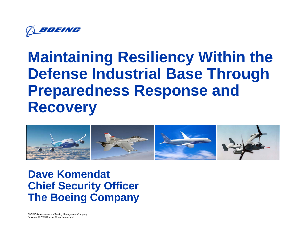

# **Maintaining Resiliency Within the Defense Industrial Base Through Preparedness Response and Recovery**



**Dave Komendat Chief Security Officer The Boeing Company**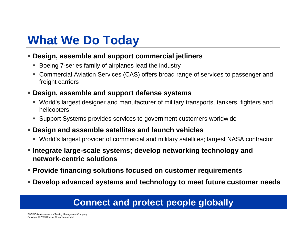## **What We Do Today**

#### **Design, assemble and support commercial jetliners**

- Boeing 7-series family of airplanes lead the industry
- Commercial Aviation Services (CAS) offers broad range of services to passenger and freight carriers

#### **Design, assemble and support defense systems**

- World's largest designer and manufacturer of military transports, tankers, fighters and helicopters
- Support Systems provides services to government customers worldwide
- **Design and assemble satellites and launch vehicles**
	- World's largest provider of commercial and military satellites; largest NASA contractor
- **Integrate large-scale systems; develop networking technology and network-centric solutions**
- **Provide financing solutions focused on customer requirements**
- **Develop advanced systems and technology to meet future customer needs**

### **Connect and protect people globally**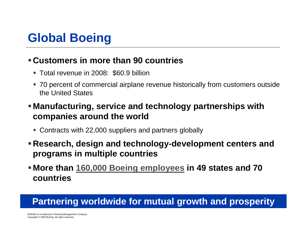## **Global Boeing**

### **Customers in more than 90 countries**

- Total revenue in 2008: \$60.9 billion
- 70 percent of commercial airplane revenue historically from customers outside the United States
- **Manufacturing, service and technology partnerships with companies around the world**
	- Contracts with 22,000 suppliers and partners globally
- **Research, design and technology-development centers and programs in multiple countries**
- **More than [160,000 Boeing employees](http://www.boeing.com/employment/employment_table.html) in 49 states and 70 countries**

### **Partnering worldwide for mutual growth and prosperity**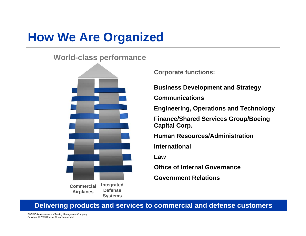# **How We Are Organized**

#### **World-class performance**



**Integrated Defense Systems Commercial Airplanes**

**Corporate functions:**

**Business Development and Strategy**

**Communications**

**Engineering, Operations and Technology**

**Finance/Shared Services Group/Boeing Capital Corp.**

**Human Resources/Administration**

**International**

**Law**

**Office of Internal Governance**

**Government Relations**

**Delivering products and services to commercial and defense customers**

BOEING is a trademark of Boeing Management Company. Copyright © 2009 Boeing. All rights reserved.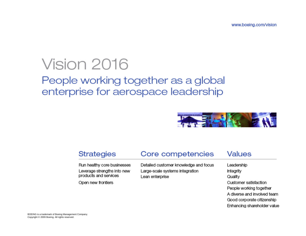# Vision 2016

### People working together as a global enterprise for aerospace leadership



#### **Strategies**

#### Core competencies

Run healthy core businesses Leverage strengths into new products and services

Open new frontiers

Detailed customer knowledge and focus Large-scale systems integration Lean enterprise

#### Values

Leadership Integrity Quality Customer satisfaction People working together A diverse and involved team Good corporate citizenship Enhancing shareholder value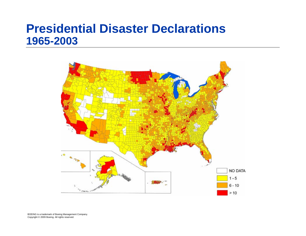### **Presidential Disaster Declarations 1965-2003**



BOEING is a trademark of Boeing Management Company. Copyright © 2009 Boeing. All rights reserved.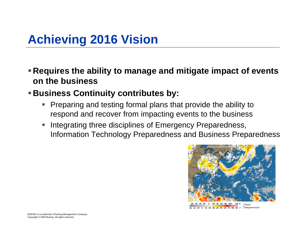## **Achieving 2016 Vision**

- **Requires the ability to manage and mitigate impact of events on the business**
- **Business Continuity contributes by:**
	- $\blacksquare$  Preparing and testing formal plans that provide the ability to respond and recover from impacting events to the business
	- $\mathcal{L}_{\mathcal{A}}$  Integrating three disciplines of Emergency Preparedness, Information Technology Preparedness and Business Preparedness



30 20 10 0 -10 -20 -30 -40 -50 -60 -70 -80 -90 C Temperature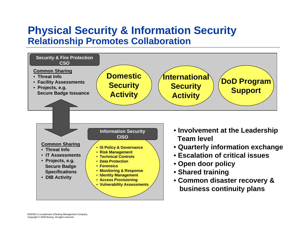### **Physical Security & Information Security Relationship Promotes Collaboration**

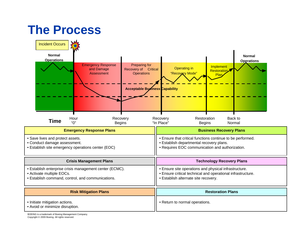### **The Process**

| ╰╜<br><b>Incident Occurs</b><br><b>Normal</b><br><b>Operations</b><br><b>Emergency Response</b><br>Preparing for<br>Recovery of Critical<br>and Damage<br>Assessment<br><b>Operations</b> | <b>Normal</b><br><b>Operations</b><br>Implement<br>Operating in<br><b>Restoration</b><br>"Recovery Mode"<br>Plan                                             |
|-------------------------------------------------------------------------------------------------------------------------------------------------------------------------------------------|--------------------------------------------------------------------------------------------------------------------------------------------------------------|
| <b>Acceptable Business Capability</b>                                                                                                                                                     |                                                                                                                                                              |
| Hour<br>Recovery<br><b>Time</b><br>"በ"<br><b>Begins</b>                                                                                                                                   | Restoration<br>Back to<br>Recovery<br>"In Place"<br>Normal<br><b>Begins</b>                                                                                  |
| <b>Emergency Response Plans</b>                                                                                                                                                           | <b>Business Recovery Plans</b>                                                                                                                               |
| • Save lives and protect assets.<br>• Conduct damage assessment.<br>• Establish site emergency operations center (EOC)                                                                    | • Ensure that critical functions continue to be performed.<br>· Establish departmental recovery plans.<br>• Requires EOC communication and authorization.    |
| <b>Crisis Management Plans</b>                                                                                                                                                            | <b>Technology Recovery Plans</b>                                                                                                                             |
| • Establish enterprise crisis management center (ECMC).<br>• Activate multiple EOCs.<br>· Establish command, control, and communications.                                                 | • Ensure site operations and physical infrastructure.<br>· Ensure critical technical and operational infrastructure.<br>· Establish alternate site recovery. |
| <b>Risk Mitigation Plans</b>                                                                                                                                                              | <b>Restoration Plans</b>                                                                                                                                     |
| · Initiate mitigation actions.<br>• Avoid or minimize disruption.                                                                                                                         | • Return to normal operations.                                                                                                                               |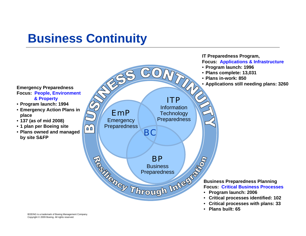## **Business Continuity**



BOEING is a trademark of Boeing Management Company. Copyright © 2009 Boeing. All rights reserved.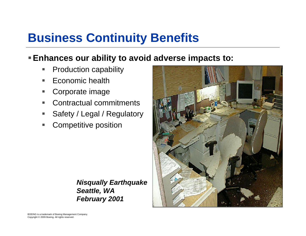## **Business Continuity Benefits**

### **Enhances our ability to avoid adverse impacts to:**

- T. Production capability
- T. Economic health
- Corporate image
- T. Contractual commitments
- T. Safety / Legal / Regulatory
- Competitive position

*Nisqually Earthquake Seattle, WA February 2001*